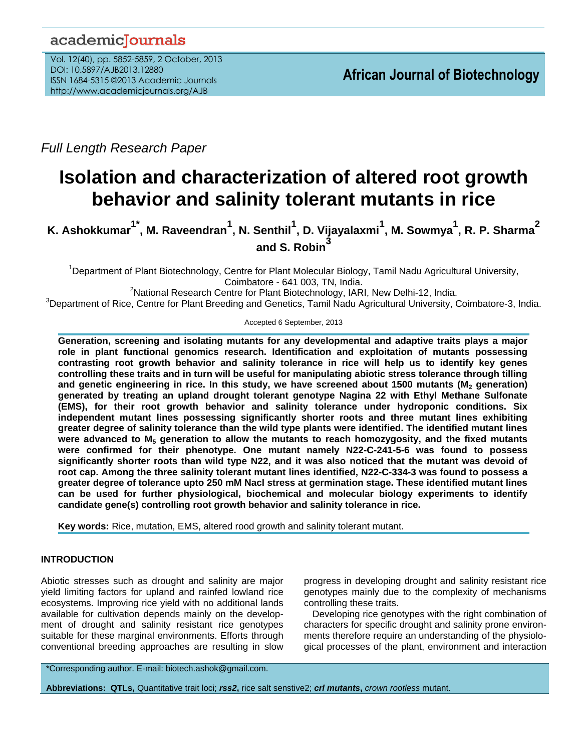# academicJournals

Vol. 12(40), pp. 5852-5859, 2 October, 2013 DOI: 10.5897/AJB2013.12880 ISSN 1684-5315 ©2013 Academic Journals http://www.academicjournals.org/AJB

*Full Length Research Paper*

# **Isolation and characterization of altered root growth behavior and salinity tolerant mutants in rice**

**K. Ashokkumar1\*, M. Raveendran<sup>1</sup> , N. Senthil<sup>1</sup> , D. Vijayalaxmi<sup>1</sup> , M. Sowmya<sup>1</sup> , R. P. Sharma<sup>2</sup> and S. Robin<sup>3</sup>**

<sup>1</sup>Department of Plant Biotechnology, Centre for Plant Molecular Biology, Tamil Nadu Agricultural University, Coimbatore - 641 003, TN, India.

<sup>2</sup>National Research Centre for Plant Biotechnology, IARI, New Delhi-12, India.

<sup>3</sup>Department of Rice, Centre for Plant Breeding and Genetics, Tamil Nadu Agricultural University, Coimbatore-3, India.

Accepted 6 September, 2013

**Generation, screening and isolating mutants for any developmental and adaptive traits plays a major role in plant functional genomics research. Identification and exploitation of mutants possessing contrasting root growth behavior and salinity tolerance in rice will help us to identify key genes controlling these traits and in turn will be useful for manipulating abiotic stress tolerance through tilling**  and genetic engineering in rice. In this study, we have screened about 1500 mutants (M<sub>2</sub> generation) **generated by treating an upland drought tolerant genotype Nagina 22 with Ethyl Methane Sulfonate (EMS), for their root growth behavior and salinity tolerance under hydroponic conditions. Six independent mutant lines possessing significantly shorter roots and three mutant lines exhibiting greater degree of salinity tolerance than the wild type plants were identified. The identified mutant lines were advanced to M<sup>5</sup> generation to allow the mutants to reach homozygosity, and the fixed mutants were confirmed for their phenotype. One mutant namely N22-C-241-5-6 was found to possess significantly shorter roots than wild type N22, and it was also noticed that the mutant was devoid of root cap. Among the three salinity tolerant mutant lines identified, N22-C-334-3 was found to possess a greater degree of tolerance upto 250 mM Nacl stress at germination stage. These identified mutant lines can be used for further physiological, biochemical and molecular biology experiments to identify candidate gene(s) controlling root growth behavior and salinity tolerance in rice.**

**Key words:** Rice, mutation, EMS, altered rood growth and salinity tolerant mutant.

# **INTRODUCTION**

Abiotic stresses such as drought and salinity are major yield limiting factors for upland and rainfed lowland rice ecosystems. Improving rice yield with no additional lands available for cultivation depends mainly on the development of drought and salinity resistant rice genotypes suitable for these marginal environments. Efforts through conventional breeding approaches are resulting in slow progress in developing drought and salinity resistant rice genotypes mainly due to the complexity of mechanisms controlling these traits.

Developing rice genotypes with the right combination of characters for specific drought and salinity prone environments therefore require an understanding of the physiological processes of the plant, environment and interaction

\*Corresponding author. E-mail: biotech.ashok@gmail.com.

**Abbreviations: QTLs,** Quantitative trait loci; *rss2***,** rice salt senstive2; *crl mutants***,** *crown rootless* mutant.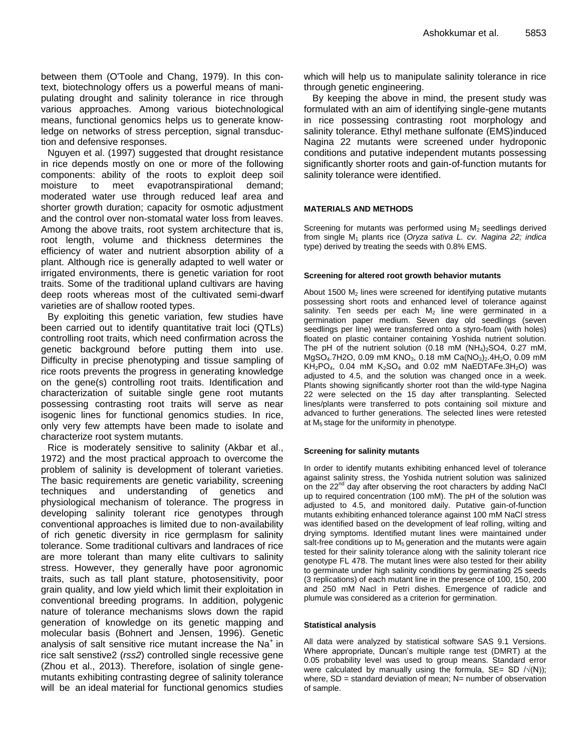between them (O'Toole and Chang, 1979). In this context, biotechnology offers us a powerful means of manipulating drought and salinity tolerance in rice through various approaches. Among various biotechnological means, functional genomics helps us to generate knowledge on networks of stress perception, signal transduction and defensive responses.

Nguyen et al. (1997) suggested that drought resistance in rice depends mostly on one or more of the following components: ability of the roots to exploit deep soil moisture to meet evapotranspirational demand; moderated water use through reduced leaf area and shorter growth duration; capacity for osmotic adjustment and the control over non-stomatal water loss from leaves. Among the above traits, root system architecture that is, root length, volume and thickness determines the efficiency of water and nutrient absorption ability of a plant. Although rice is generally adapted to well water or irrigated environments, there is genetic variation for root traits. Some of the traditional upland cultivars are having deep roots whereas most of the cultivated semi-dwarf varieties are of shallow rooted types.

By exploiting this genetic variation, few studies have been carried out to identify quantitative trait loci (QTLs) controlling root traits, which need confirmation across the genetic background before putting them into use. Difficulty in precise phenotyping and tissue sampling of rice roots prevents the progress in generating knowledge on the gene(s) controlling root traits. Identification and characterization of suitable single gene root mutants possessing contrasting root traits will serve as near isogenic lines for functional genomics studies. In rice, only very few attempts have been made to isolate and characterize root system mutants.

Rice is moderately sensitive to salinity (Akbar et al., 1972) and the most practical approach to overcome the problem of salinity is development of tolerant varieties. The basic requirements are genetic variability, screening techniques and understanding of genetics and physiological mechanism of tolerance. The progress in developing salinity tolerant rice genotypes through conventional approaches is limited due to non-availability of rich genetic diversity in rice germplasm for salinity tolerance. Some traditional cultivars and landraces of rice are more tolerant than many elite cultivars to salinity stress. However, they generally have poor agronomic traits, such as tall plant stature, photosensitivity, poor grain quality, and low yield which limit their exploitation in conventional breeding programs. In addition, polygenic nature of tolerance mechanisms slows down the rapid generation of knowledge on its genetic mapping and molecular basis (Bohnert and Jensen, 1996). Genetic analysis of salt sensitive rice mutant increase the Na<sup>+</sup> in rice salt senstive2 (*rss2*) controlled single recessive gene (Zhou et al., 2013). Therefore, isolation of single genemutants exhibiting contrasting degree of salinity tolerance will be an ideal material for functional genomics studies which will help us to manipulate salinity tolerance in rice through genetic engineering.

By keeping the above in mind, the present study was formulated with an aim of identifying single-gene mutants in rice possessing contrasting root morphology and salinity tolerance. Ethyl methane sulfonate (EMS)induced Nagina 22 mutants were screened under hydroponic conditions and putative independent mutants possessing significantly shorter roots and gain-of-function mutants for salinity tolerance were identified.

#### **MATERIALS AND METHODS**

Screening for mutants was performed using  $M_2$  seedlings derived from single M<sup>1</sup> plants rice (*Oryza sativa L. cv. Nagina 22; indica*  type) derived by treating the seeds with 0.8% EMS.

#### **Screening for altered root growth behavior mutants**

About 1500  $M<sub>2</sub>$  lines were screened for identifying putative mutants possessing short roots and enhanced level of tolerance against salinity. Ten seeds per each  $M_2$  line were germinated in a germination paper medium. Seven day old seedlings (seven seedlings per line) were transferred onto a styro-foam (with holes) floated on plastic container containing Yoshida nutrient solution. The pH of the nutrient solution (0.18 mM  $(NH<sub>4</sub>)<sub>2</sub>SO4$ , 0.27 mM, MgSO<sub>4</sub>.7H2O, 0.09 mM KNO<sub>3</sub>, 0.18 mM Ca(NO<sub>3</sub>)<sub>2</sub>.4H<sub>2</sub>O, 0.09 mM  $KH_2PO_4$ , 0.04 mM  $K_2SO_4$  and 0.02 mM NaEDTAFe.3H<sub>2</sub>O) was adjusted to 4.5, and the solution was changed once in a week. Plants showing significantly shorter root than the wild-type Nagina 22 were selected on the 15 day after transplanting. Selected lines/plants were transferred to pots containing soil mixture and advanced to further generations. The selected lines were retested at  $M_5$  stage for the uniformity in phenotype.

#### **Screening for salinity mutants**

In order to identify mutants exhibiting enhanced level of tolerance against salinity stress, the Yoshida nutrient solution was salinized on the  $22^{nd}$  day after observing the root characters by adding NaCl up to required concentration (100 mM). The pH of the solution was adjusted to 4.5, and monitored daily. Putative gain-of-function mutants exhibiting enhanced tolerance against 100 mM NaCl stress was identified based on the development of leaf rolling, wilting and drying symptoms. Identified mutant lines were maintained under salt-free conditions up to  $M_5$  generation and the mutants were again tested for their salinity tolerance along with the salinity tolerant rice genotype FL 478. The mutant lines were also tested for their ability to germinate under high salinity conditions by germinating 25 seeds (3 replications) of each mutant line in the presence of 100, 150, 200 and 250 mM Nacl in Petri dishes. Emergence of radicle and plumule was considered as a criterion for germination.

#### **Statistical analysis**

All data were analyzed by statistical software SAS 9.1 Versions. Where appropriate, Duncan's multiple range test (DMRT) at the 0.05 probability level was used to group means. Standard error were calculated by manually using the formula,  $SE= SD / \sqrt{N(N)}$ ; where,  $SD =$  standard deviation of mean;  $N=$  number of observation of sample.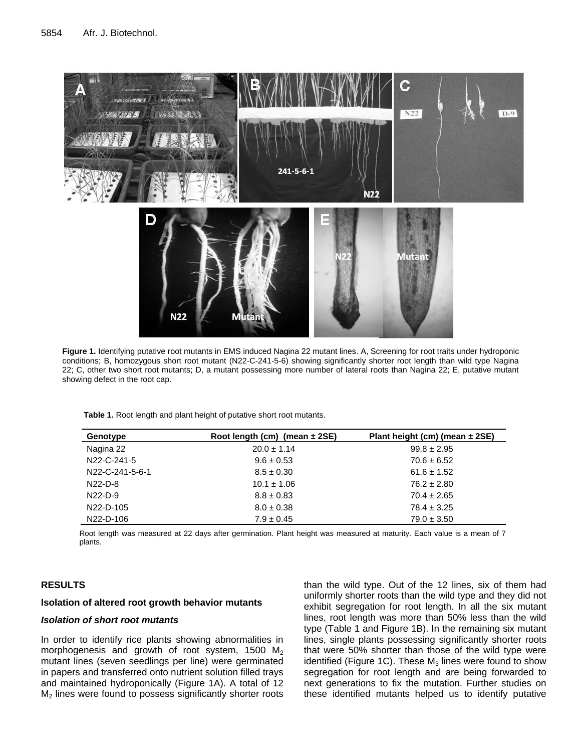

**Figure 1.** Identifying putative root mutants in EMS induced Nagina 22 mutant lines. A, Screening for root traits under hydroponic conditions; B, homozygous short root mutant (N22-C-241-5-6) showing significantly shorter root length than wild type Nagina 22; C, other two short root mutants; D, a mutant possessing more number of lateral roots than Nagina 22; E, putative mutant showing defect in the root cap.

**Table 1.** Root length and plant height of putative short root mutants.

| Genotype                     | Root length (cm) (mean $\pm$ 2SE) | Plant height (cm) (mean $\pm$ 2SE) |
|------------------------------|-----------------------------------|------------------------------------|
| Nagina 22                    | $20.0 \pm 1.14$                   | $99.8 \pm 2.95$                    |
| N <sub>22</sub> -C-241-5     | $9.6 \pm 0.53$                    | $70.6 \pm 6.52$                    |
| N <sub>22</sub> -C-241-5-6-1 | $8.5 \pm 0.30$                    | $61.6 \pm 1.52$                    |
| $N22-D-8$                    | $10.1 \pm 1.06$                   | $76.2 \pm 2.80$                    |
| $N22-D-9$                    | $8.8 \pm 0.83$                    | $70.4 \pm 2.65$                    |
| N <sub>22</sub> -D-105       | $8.0 \pm 0.38$                    | $78.4 \pm 3.25$                    |
| N22-D-106                    | $7.9 \pm 0.45$                    | $79.0 \pm 3.50$                    |

Root length was measured at 22 days after germination. Plant height was measured at maturity. Each value is a mean of 7 plants.

# **RESULTS**

#### **Isolation of altered root growth behavior mutants**

#### *Isolation of short root mutants*

In order to identify rice plants showing abnormalities in morphogenesis and growth of root system, 1500  $M<sub>2</sub>$ mutant lines (seven seedlings per line) were germinated in papers and transferred onto nutrient solution filled trays and maintained hydroponically (Figure 1A). A total of 12  $M<sub>2</sub>$  lines were found to possess significantly shorter roots

than the wild type. Out of the 12 lines, six of them had uniformly shorter roots than the wild type and they did not exhibit segregation for root length. In all the six mutant lines, root length was more than 50% less than the wild type (Table 1 and Figure 1B). In the remaining six mutant lines, single plants possessing significantly shorter roots that were 50% shorter than those of the wild type were identified (Figure 1C). These  $M_3$  lines were found to show segregation for root length and are being forwarded to next generations to fix the mutation. Further studies on these identified mutants helped us to identify putative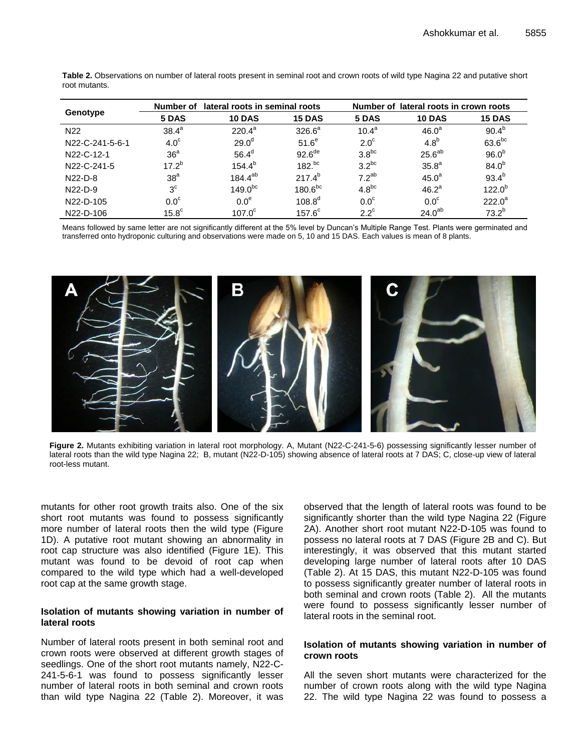|                        | Number of        | lateral roots in seminal roots |                      | lateral roots in crown roots<br>Number of |                    |               |
|------------------------|------------------|--------------------------------|----------------------|-------------------------------------------|--------------------|---------------|
| Genotype               | 5 DAS            | <b>10 DAS</b>                  | <b>15 DAS</b>        | 5 DAS                                     | <b>10 DAS</b>      | <b>15 DAS</b> |
| N <sub>22</sub>        | $38.4^a$         | $220.4^a$                      | $326.6^a$            | $10.4^{\circ}$                            | 46.0 <sup>a</sup>  | $90.4^{b}$    |
| N22-C-241-5-6-1        | 4.0 <sup>c</sup> | 29.0 <sup>d</sup>              | 51.6 <sup>e</sup>    | $2.0^\circ$                               | 4.8 <sup>b</sup>   | $63.6^{bc}$   |
| N22-C-12-1             | 36 <sup>a</sup>  | $56.4^{\circ}$                 | $92.6$ <sup>de</sup> | 3.8 <sup>bc</sup>                         | $25.6^{ab}$        | $96.0^{b}$    |
| N22-C-241-5            | $17.2^{b}$       | $154.4^{b}$                    | $182.^{bc}$          | $3.2^{bc}$                                | 35.8 <sup>a</sup>  | $84.0^{b}$    |
| $N22-D-8$              | 38 <sup>a</sup>  | $184.4^{ab}$                   | $217.4^{b}$          | $72^{ab}$                                 | 45.0 <sup>a</sup>  | $93.4^{b}$    |
| $N22-D-9$              | 3 <sup>c</sup>   | $149.0^{bc}$                   | 180.6 <sup>bc</sup>  | $4.8^{bc}$                                | 46.2 <sup>a</sup>  | $122.0^{b}$   |
| N <sub>22</sub> -D-105 | 0.0 <sup>c</sup> | 0.0 <sup>e</sup>               | $108.8^d$            | 0.0 <sup>c</sup>                          | 0.0 <sup>c</sup>   | $222.0^a$     |
| N <sub>22</sub> -D-106 | $15.8^\circ$     | 107.0 <sup>c</sup>             | $157.6^\circ$        | $2.2^{\circ}$                             | 24.0 <sup>ab</sup> | $73.2^{b}$    |

**Table 2.** Observations on number of lateral roots present in seminal root and crown roots of wild type Nagina 22 and putative short root mutants.

Means followed by same letter are not significantly different at the 5% level by Duncan's Multiple Range Test. Plants were germinated and transferred onto hydroponic culturing and observations were made on 5, 10 and 15 DAS. Each values is mean of 8 plants.



**Figure 2.** Mutants exhibiting variation in lateral root morphology. A, Mutant (N22-C-241-5-6) possessing significantly lesser number of lateral roots than the wild type Nagina 22; B, mutant (N22-D-105) showing absence of lateral roots at 7 DAS; C, close-up view of lateral root-less mutant.

mutants for other root growth traits also. One of the six short root mutants was found to possess significantly more number of lateral roots then the wild type (Figure 1D). A putative root mutant showing an abnormality in root cap structure was also identified (Figure 1E). This mutant was found to be devoid of root cap when compared to the wild type which had a well-developed root cap at the same growth stage.

#### **Isolation of mutants showing variation in number of lateral roots**

Number of lateral roots present in both seminal root and crown roots were observed at different growth stages of seedlings. One of the short root mutants namely, N22-C-241-5-6-1 was found to possess significantly lesser number of lateral roots in both seminal and crown roots than wild type Nagina 22 (Table 2). Moreover, it was

observed that the length of lateral roots was found to be significantly shorter than the wild type Nagina 22 (Figure 2A). Another short root mutant N22-D-105 was found to possess no lateral roots at 7 DAS (Figure 2B and C). But interestingly, it was observed that this mutant started developing large number of lateral roots after 10 DAS (Table 2). At 15 DAS, this mutant N22-D-105 was found to possess significantly greater number of lateral roots in both seminal and crown roots (Table 2). All the mutants were found to possess significantly lesser number of lateral roots in the seminal root.

#### **Isolation of mutants showing variation in number of crown roots**

All the seven short mutants were characterized for the number of crown roots along with the wild type Nagina 22. The wild type Nagina 22 was found to possess a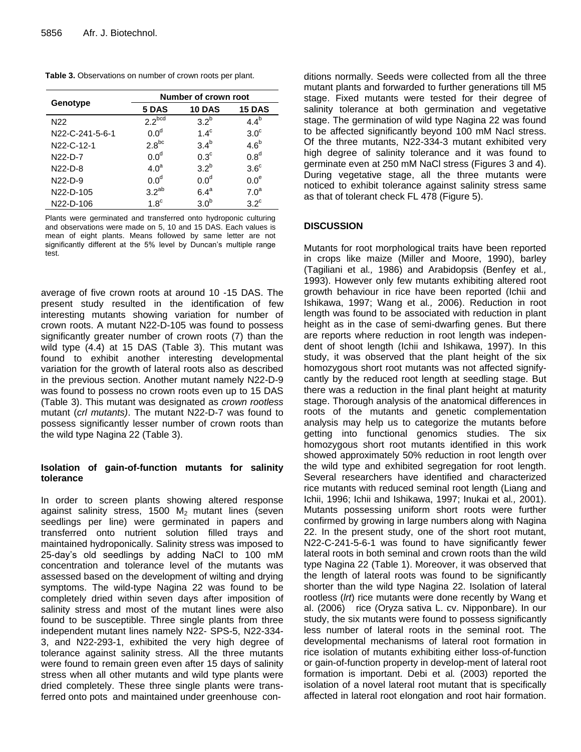| Table 3. Observations on number of crown roots per plant. |  |  |  |
|-----------------------------------------------------------|--|--|--|
|-----------------------------------------------------------|--|--|--|

|                              | Number of crown root |                  |                  |  |
|------------------------------|----------------------|------------------|------------------|--|
| Genotype                     | 5 DAS                | <b>10 DAS</b>    | <b>15 DAS</b>    |  |
| N <sub>22</sub>              | 2.2 <sub>bcd</sub>   | 3.2 <sup>b</sup> | $4.4^b$          |  |
| N <sub>22</sub> -C-241-5-6-1 | 0.0 <sup>d</sup>     | $1.4^\circ$      | $3.0^\circ$      |  |
| N22-C-12-1                   | $2.8^{bc}$           | 3.4 <sup>b</sup> | $4.6^b$          |  |
| $N22-D-7$                    | 0.0 <sup>d</sup>     | $0.3^{\circ}$    | 0.8 <sup>d</sup> |  |
| $N22-D-8$                    | 4.0 <sup>a</sup>     | 3.2 <sup>b</sup> | $3.6^\circ$      |  |
| $N22-D-9$                    | 0.0 <sup>d</sup>     | 0.0 <sup>d</sup> | 0.0 <sup>e</sup> |  |
| N <sub>22</sub> -D-105       | $3.2^{ab}$           | $6.4^a$          | 7.0 <sup>a</sup> |  |
| N <sub>22</sub> -D-106       | 1.8 <sup>c</sup>     | 3.0 <sup>b</sup> | $3.2^{\circ}$    |  |

Plants were germinated and transferred onto hydroponic culturing and observations were made on 5, 10 and 15 DAS. Each values is mean of eight plants. Means followed by same letter are not significantly different at the 5% level by Duncan's multiple range test.

average of five crown roots at around 10 -15 DAS. The present study resulted in the identification of few interesting mutants showing variation for number of crown roots. A mutant N22-D-105 was found to possess significantly greater number of crown roots (7) than the wild type (4.4) at 15 DAS (Table 3). This mutant was found to exhibit another interesting developmental variation for the growth of lateral roots also as described in the previous section. Another mutant namely N22-D-9 was found to possess no crown roots even up to 15 DAS (Table 3). This mutant was designated as *crown rootless* mutant (*crl mutants)*. The mutant N22-D-7 was found to possess significantly lesser number of crown roots than the wild type Nagina 22 (Table 3).

### **Isolation of gain-of-function mutants for salinity tolerance**

In order to screen plants showing altered response against salinity stress, 1500  $M_2$  mutant lines (seven seedlings per line) were germinated in papers and transferred onto nutrient solution filled trays and maintained hydroponically. Salinity stress was imposed to 25-day's old seedlings by adding NaCl to 100 mM concentration and tolerance level of the mutants was assessed based on the development of wilting and drying symptoms. The wild-type Nagina 22 was found to be completely dried within seven days after imposition of salinity stress and most of the mutant lines were also found to be susceptible. Three single plants from three independent mutant lines namely N22- SPS-5, N22-334- 3, and N22-293-1, exhibited the very high degree of tolerance against salinity stress. All the three mutants were found to remain green even after 15 days of salinity stress when all other mutants and wild type plants were dried completely. These three single plants were transferred onto pots and maintained under greenhouse conditions normally. Seeds were collected from all the three mutant plants and forwarded to further generations till M5 stage. Fixed mutants were tested for their degree of salinity tolerance at both germination and vegetative stage. The germination of wild type Nagina 22 was found to be affected significantly beyond 100 mM Nacl stress. Of the three mutants, N22-334-3 mutant exhibited very high degree of salinity tolerance and it was found to germinate even at 250 mM NaCl stress (Figures 3 and 4). During vegetative stage, all the three mutants were noticed to exhibit tolerance against salinity stress same as that of tolerant check FL 478 (Figure 5).

# **DISCUSSION**

Mutants for root morphological traits have been reported in crops like maize (Miller and Moore, 1990), barley (Tagiliani et al*.,* 1986) and Arabidopsis (Benfey et al*.,* 1993). However only few mutants exhibiting altered root growth behaviour in rice have been reported (Ichii and Ishikawa, 1997; Wang et al*.,* 2006). Reduction in root length was found to be associated with reduction in plant height as in the case of semi-dwarfing genes. But there are reports where reduction in root length was independent of shoot length (Ichii and Ishikawa, 1997). In this study, it was observed that the plant height of the six homozygous short root mutants was not affected signifycantly by the reduced root length at seedling stage. But there was a reduction in the final plant height at maturity stage. Thorough analysis of the anatomical differences in roots of the mutants and genetic complementation analysis may help us to categorize the mutants before getting into functional genomics studies. The six homozygous short root mutants identified in this work showed approximately 50% reduction in root length over the wild type and exhibited segregation for root length. Several researchers have identified and characterized rice mutants with reduced seminal root length (Liang and Ichii, 1996; Ichii and Ishikawa, 1997; Inukai et al*.,* 2001). Mutants possessing uniform short roots were further confirmed by growing in large numbers along with Nagina 22. In the present study, one of the short root mutant, N22-C-241-5-6-1 was found to have significantly fewer lateral roots in both seminal and crown roots than the wild type Nagina 22 (Table 1). Moreover, it was observed that the length of lateral roots was found to be significantly shorter than the wild type Nagina 22. Isolation of lateral rootless (*lrt*) rice mutants were done recently by Wang et al. (2006) rice (Oryza sativa L. cv. Nipponbare). In our study, the six mutants were found to possess significantly less number of lateral roots in the seminal root. The developmental mechanisms of lateral root formation in rice isolation of mutants exhibiting either loss-of-function or gain-of-function property in develop-ment of lateral root formation is important. Debi et al*.* (2003) reported the isolation of a novel lateral root mutant that is specifically affected in lateral root elongation and root hair formation.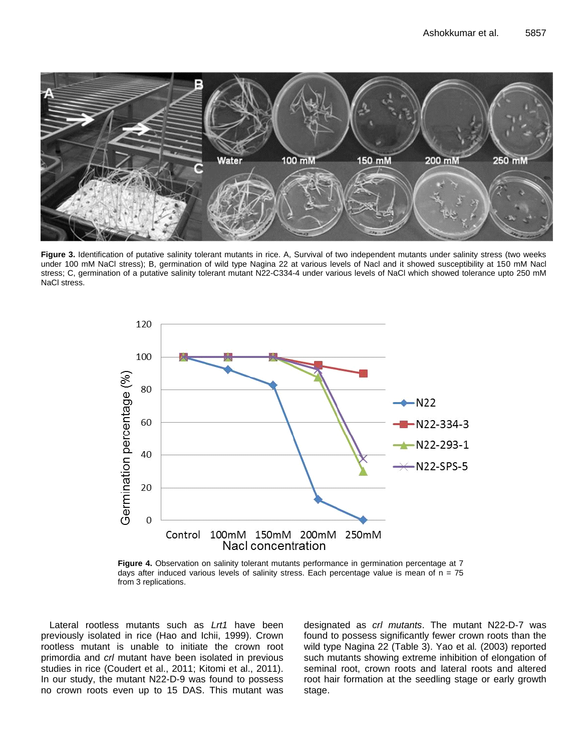

**Figure 3.** Identification of putative salinity tolerant mutants in rice. A, Survival of two independent mutants under salinity stress (two weeks under 100 mM NaCl stress); B, germination of wild type Nagina 22 at various levels of Nacl and it showed susceptibility at 150 mM Nacl stress; C, germination of a putative salinity tolerant mutant N22-C334-4 under various levels of NaCl which showed tolerance upto 250 mM NaCl stress.



**Figure 4.** Observation on salinity tolerant mutants performance in germination percentage at 7 days after induced various levels of salinity stress. Each percentage value is mean of  $n = 75$ from 3 replications.

Lateral rootless mutants such as *Lrt1* have been previously isolated in rice (Hao and Ichii, 1999). Crown rootless mutant is unable to initiate the crown root primordia and *crl* mutant have been isolated in previous studies in rice (Coudert et al., 2011; Kitomi et al., 2011). In our study, the mutant N22-D-9 was found to possess no crown roots even up to 15 DAS. This mutant was designated as *crl mutants*. The mutant N22-D-7 was found to possess significantly fewer crown roots than the wild type Nagina 22 (Table 3). Yao et al*.* (2003) reported such mutants showing extreme inhibition of elongation of seminal root, crown roots and lateral roots and altered root hair formation at the seedling stage or early growth stage.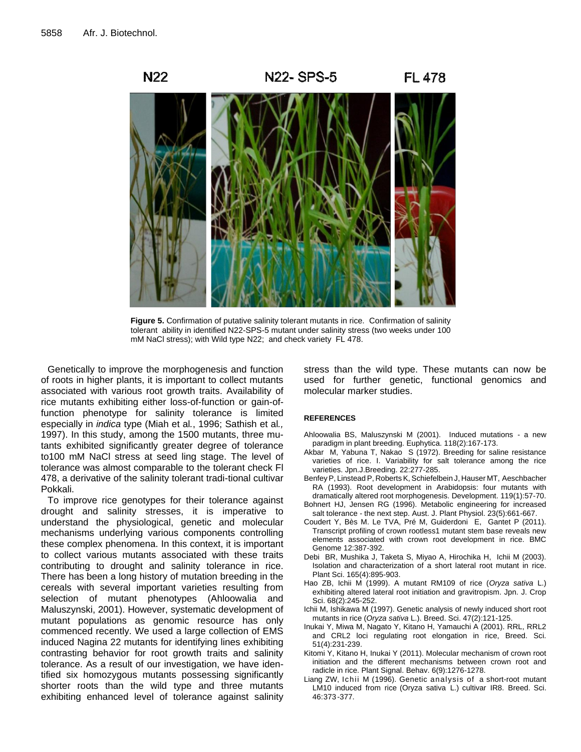

**Figure 5.** Confirmation of putative salinity tolerant mutants in rice. Confirmation of salinity tolerant ability in identified N22-SPS-5 mutant under salinity stress (two weeks under 100 mM NaCl stress); with Wild type N22; and check variety FL 478.

Genetically to improve the morphogenesis and function of roots in higher plants, it is important to collect mutants associated with various root growth traits. Availability of rice mutants exhibiting either loss-of-function or gain-offunction phenotype for salinity tolerance is limited especially in *indica* type (Miah et al*.*, 1996; Sathish et al*.,* 1997). In this study, among the 1500 mutants, three mutants exhibited significantly greater degree of tolerance to100 mM NaCl stress at seed ling stage. The level of tolerance was almost comparable to the tolerant check Fl 478, a derivative of the salinity tolerant tradi-tional cultivar Pokkali.

To improve rice genotypes for their tolerance against drought and salinity stresses, it is imperative to understand the physiological, genetic and molecular mechanisms underlying various components controlling these complex phenomena. In this context, it is important to collect various mutants associated with these traits contributing to drought and salinity tolerance in rice. There has been a long history of mutation breeding in the cereals with several important varieties resulting from selection of mutant phenotypes (Ahloowalia and Maluszynski, 2001). However, systematic development of mutant populations as genomic resource has only commenced recently. We used a large collection of EMS induced Nagina 22 mutants for identifying lines exhibiting contrasting behavior for root growth traits and salinity tolerance. As a result of our investigation, we have identified six homozygous mutants possessing significantly shorter roots than the wild type and three mutants exhibiting enhanced level of tolerance against salinity

stress than the wild type. These mutants can now be used for further genetic, functional genomics and molecular marker studies.

#### **REFERENCES**

- Ahloowalia BS, Maluszynski M (2001). Induced mutations a new paradigm in plant breeding. Euphytica. 118(2):167-173.
- Akbar M, Yabuna T, Nakao S (1972). Breeding for saline resistance varieties of rice. I. Variability for salt tolerance among the rice varieties. Jpn.J.Breeding. 22:277-285.
- Benfey P, Linstead P, Roberts K, Schiefelbein J, Hauser MT, Aeschbacher RA (1993). Root development in Arabidopsis: four mutants with dramatically altered root morphogenesis. Development. 119(1):57-70.
- Bohnert HJ, Jensen RG (1996). Metabolic engineering for increased salt tolerance - the next step. Aust. J. Plant Physiol. 23(5):661-667.
- Coudert Y, Bès M. Le TVA, Pré M, Guiderdoni E, Gantet P (2011). Transcript profiling of crown rootless1 mutant stem base reveals new elements associated with crown root development in rice. BMC Genome 12:387-392.
- Debi BR, Mushika J, Taketa S, Miyao A, Hirochika H, Ichii M (2003). Isolation and characterization of a short lateral root mutant in rice. Plant Sci. 165(4):895-903.
- Hao ZB, Ichii M (1999). A mutant RM109 of rice (*Oryza sativa* L.) exhibiting altered lateral root initiation and gravitropism. Jpn. J. Crop Sci. 68(2):245-252.
- Ichii M, Ishikawa M (1997). Genetic analysis of newly induced short root mutants in rice (*Oryza sativa* L.). Breed. Sci. 47(2):121-125.
- Inukai Y, Miwa M, Nagato Y, Kitano H, Yamauchi A (2001). RRL, RRL2 and CRL2 loci regulating root elongation in rice, Breed. Sci. 51(4):231-239.
- Kitomi Y, Kitano H, Inukai Y (2011). Molecular mechanism of crown root initiation and the different mechanisms between crown root and radicle in rice. Plant Signal. Behav. 6(9):1276-1278.
- Liang ZW, Ichii M (1996). Genetic analysis of a short-root mutant LM10 induced from rice (Oryza sativa L.) cultivar IR8. Breed. Sci. 46:373 -377.